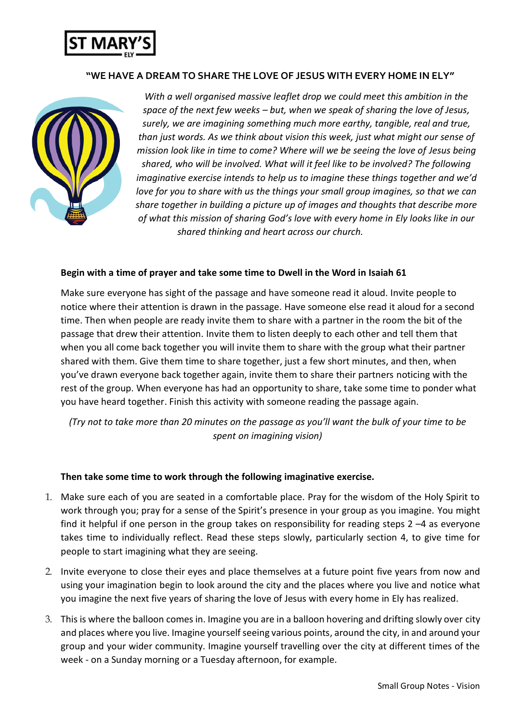

## **"WE HAVE A DREAM TO SHARE THE LOVE OF JESUS WITH EVERY HOME IN ELY"**



*With a well organised massive leaflet drop we could meet this ambition in the space of the next few weeks – but, when we speak of sharing the love of Jesus, surely, we are imagining something much more earthy, tangible, real and true, than just words. As we think about vision this week, just what might our sense of mission look like in time to come? Where will we be seeing the love of Jesus being shared, who will be involved. What will it feel like to be involved? The following imaginative exercise intends to help us to imagine these things together and we'd love for you to share with us the things your small group imagines, so that we can share together in building a picture up of images and thoughts that describe more of what this mission of sharing God's love with every home in Ely looks like in our shared thinking and heart across our church.*

### **Begin with a time of prayer and take some time to Dwell in the Word in Isaiah 61**

Make sure everyone has sight of the passage and have someone read it aloud. Invite people to notice where their attention is drawn in the passage. Have someone else read it aloud for a second time. Then when people are ready invite them to share with a partner in the room the bit of the passage that drew their attention. Invite them to listen deeply to each other and tell them that when you all come back together you will invite them to share with the group what their partner shared with them. Give them time to share together, just a few short minutes, and then, when you've drawn everyone back together again, invite them to share their partners noticing with the rest of the group. When everyone has had an opportunity to share, take some time to ponder what you have heard together. Finish this activity with someone reading the passage again.

*(Try not to take more than 20 minutes on the passage as you'll want the bulk of your time to be spent on imagining vision)*

### **Then take some time to work through the following imaginative exercise.**

- 1. Make sure each of you are seated in a comfortable place. Pray for the wisdom of the Holy Spirit to work through you; pray for a sense of the Spirit's presence in your group as you imagine. You might find it helpful if one person in the group takes on responsibility for reading steps 2 –4 as everyone takes time to individually reflect. Read these steps slowly, particularly section 4, to give time for people to start imagining what they are seeing.
- 2. Invite everyone to close their eyes and place themselves at a future point five years from now and using your imagination begin to look around the city and the places where you live and notice what you imagine the next five years of sharing the love of Jesus with every home in Ely has realized.
- 3. This is where the balloon comes in. Imagine you are in a balloon hovering and drifting slowly over city and places where you live. Imagine yourself seeing various points, around the city, in and around your group and your wider community. Imagine yourself travelling over the city at different times of the week - on a Sunday morning or a Tuesday afternoon, for example.